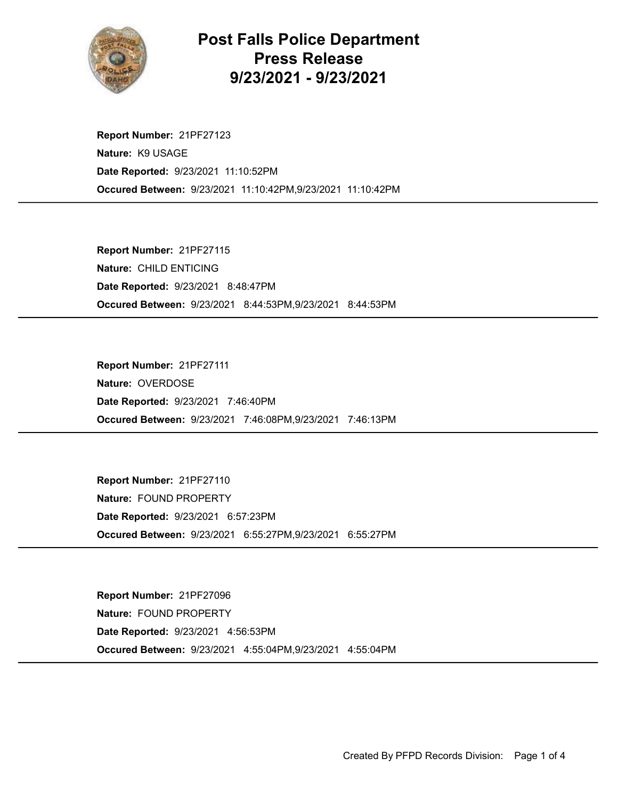

## Post Falls Police Department Press Release 9/23/2021 - 9/23/2021

Occured Between: 9/23/2021 11:10:42PM,9/23/2021 11:10:42PM Report Number: 21PF27123 Nature: K9 USAGE Date Reported: 9/23/2021 11:10:52PM

Occured Between: 9/23/2021 8:44:53PM,9/23/2021 8:44:53PM Report Number: 21PF27115 Nature: CHILD ENTICING Date Reported: 9/23/2021 8:48:47PM

Occured Between: 9/23/2021 7:46:08PM,9/23/2021 7:46:13PM Report Number: 21PF27111 Nature: OVERDOSE Date Reported: 9/23/2021 7:46:40PM

Occured Between: 9/23/2021 6:55:27PM,9/23/2021 6:55:27PM Report Number: 21PF27110 Nature: FOUND PROPERTY Date Reported: 9/23/2021 6:57:23PM

Occured Between: 9/23/2021 4:55:04PM,9/23/2021 4:55:04PM Report Number: 21PF27096 Nature: FOUND PROPERTY Date Reported: 9/23/2021 4:56:53PM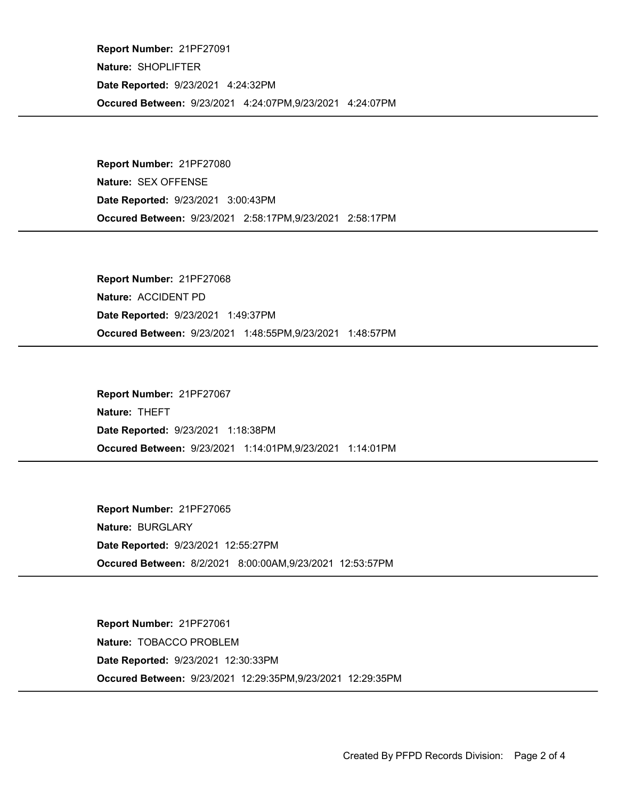Occured Between: 9/23/2021 4:24:07PM,9/23/2021 4:24:07PM Report Number: 21PF27091 Nature: SHOPLIFTER Date Reported: 9/23/2021 4:24:32PM

Occured Between: 9/23/2021 2:58:17PM,9/23/2021 2:58:17PM Report Number: 21PF27080 Nature: SEX OFFENSE Date Reported: 9/23/2021 3:00:43PM

Occured Between: 9/23/2021 1:48:55PM,9/23/2021 1:48:57PM Report Number: 21PF27068 Nature: ACCIDENT PD Date Reported: 9/23/2021 1:49:37PM

Occured Between: 9/23/2021 1:14:01PM,9/23/2021 1:14:01PM Report Number: 21PF27067 Nature: THEFT Date Reported: 9/23/2021 1:18:38PM

Occured Between: 8/2/2021 8:00:00AM,9/23/2021 12:53:57PM Report Number: 21PF27065 Nature: BURGLARY Date Reported: 9/23/2021 12:55:27PM

Occured Between: 9/23/2021 12:29:35PM,9/23/2021 12:29:35PM Report Number: 21PF27061 Nature: TOBACCO PROBLEM Date Reported: 9/23/2021 12:30:33PM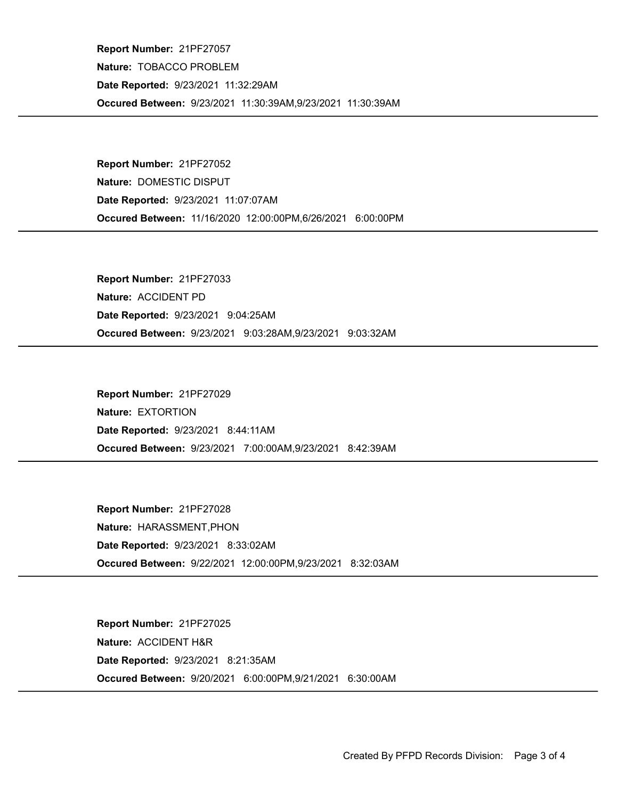Occured Between: 9/23/2021 11:30:39AM,9/23/2021 11:30:39AM Report Number: 21PF27057 Nature: TOBACCO PROBLEM Date Reported: 9/23/2021 11:32:29AM

Occured Between: 11/16/2020 12:00:00PM,6/26/2021 6:00:00PM Report Number: 21PF27052 Nature: DOMESTIC DISPUT Date Reported: 9/23/2021 11:07:07AM

Occured Between: 9/23/2021 9:03:28AM,9/23/2021 9:03:32AM Report Number: 21PF27033 Nature: ACCIDENT PD Date Reported: 9/23/2021 9:04:25AM

Occured Between: 9/23/2021 7:00:00AM,9/23/2021 8:42:39AM Report Number: 21PF27029 Nature: EXTORTION Date Reported: 9/23/2021 8:44:11AM

Occured Between: 9/22/2021 12:00:00PM,9/23/2021 8:32:03AM Report Number: 21PF27028 Nature: HARASSMENT,PHON Date Reported: 9/23/2021 8:33:02AM

Occured Between: 9/20/2021 6:00:00PM,9/21/2021 6:30:00AM Report Number: 21PF27025 Nature: ACCIDENT H&R Date Reported: 9/23/2021 8:21:35AM